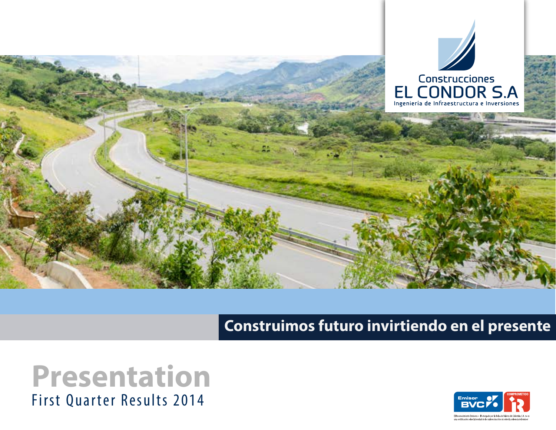

### First Quarter Results 2014 **Presentation**

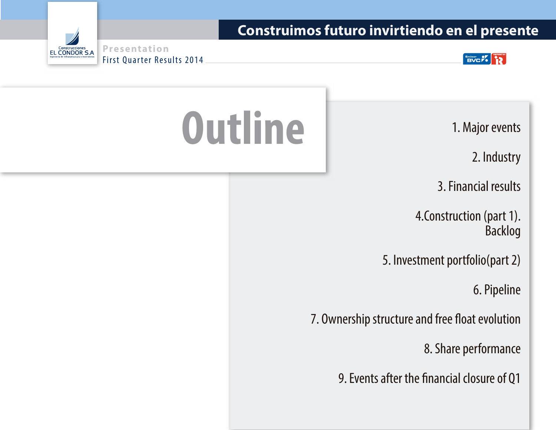

**Presentation EL CONDOR S.A** First Quarter Results 2014

2. Industry

3. Financial results

4.Construction (part 1). Backlog

5. Investment portfolio(part 2)

6. Pipeline

7. Ownership structure and free float evolution

8. Share performance

9. Events after the financial closure of Q1

# Outline 1. Major events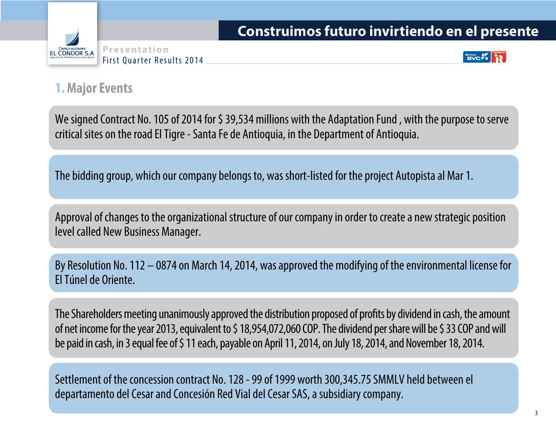



#### **1. Major Events**

We signed Contract No. 105 of 2014 for \$39,534 millions with the Adaptation Fund, with the purpose to serve critical sites on the road El Tigre - Santa Fe de Antioquia, in the Department of Antioquia.

The bidding group, which our company belongs to, was short-listed for the project Autopista al Mar 1.

Approval of changes to the organizational structure of our company in order to create a new strategic position level called New Business Manager.

By Resolution No. 112 – 0874 on March 14, 2014, was approved the modifying of the environmental license for El Túnel de Oriente.

The Shareholders meeting unanimously approved the distribution proposed of profits by dividend in cash, the amount of net income for the year 2013, equivalent to \$ 18,954,072,060 COP. The dividend per share will be \$ 33 COP and will be paid in cash, in 3 equal fee of \$ 11 each, payable on April 11, 2014, on July 18, 2014, and November 18, 2014.

Settlement of the concession contract No. 128 - 99 of 1999 worth 300,345.75 SMMLV held between el departamento del Cesar and Concesión Red Vial del Cesar SAS, a subsidiary company.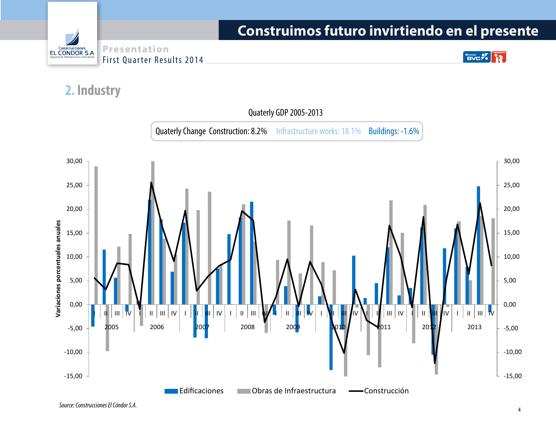

 $\left[\begin{array}{c}\n\text{Fmlsor} \\
\text{BVC} \\
\end{array}\right]$  $\ddot{12}$ 

#### **2. Industry**

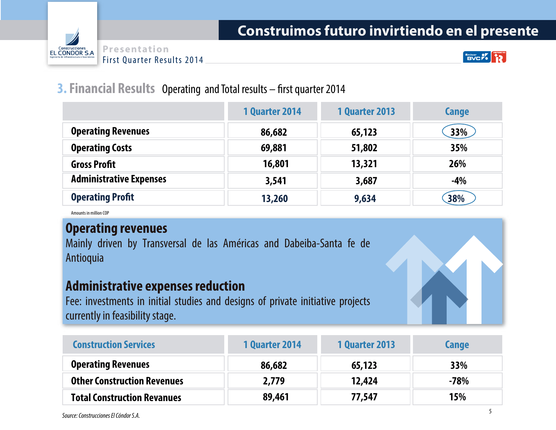



Emiser of BVC Po

#### **3. Financial Results** Operating and Total results – first quarter 2014

|                                | <b>1 Quarter 2014</b> | <b>1 Quarter 2013</b> | Cange |
|--------------------------------|-----------------------|-----------------------|-------|
| <b>Operating Revenues</b>      | 86,682                | 65,123                | 33%   |
| <b>Operating Costs</b>         | 69,881                | 51,802                | 35%   |
| <b>Gross Profit</b>            | 16,801                | 13,321                | 26%   |
| <b>Administrative Expenses</b> | 3,541                 | 3,687                 | $-4%$ |
| <b>Operating Profit</b>        | 13,260                | 9,634                 | 38%   |

Amounts in million COP

#### **Operating revenues**

Mainly driven by Transversal de las Américas and Dabeiba-Santa fe de Antioquia

#### **Administrative expenses reduction**

Fee: investments in initial studies and designs of private initiative projects currently in feasibility stage.

| <b>Construction Services</b>       | <b>1 Quarter 2014</b> | <b>1 Quarter 2013</b> | Cange  |
|------------------------------------|-----------------------|-----------------------|--------|
| <b>Operating Revenues</b>          | 86,682                | 65,123                | 33%    |
| <b>Other Construction Revenues</b> | 2,779                 | 12,424                | $-78%$ |
| <b>Total Construction Revanues</b> | 89,461                | 77,547                | 15%    |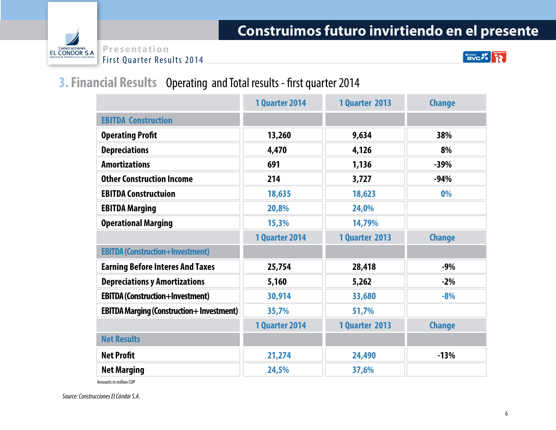

Emisor OV COMPROMETRO

#### **3. Financial Results** Operating and Total results - first quarter 2014

|                                                 | <b>1 Quarter 2014</b> | <b>1 Quarter 2013</b> | <b>Change</b> |
|-------------------------------------------------|-----------------------|-----------------------|---------------|
| <b>EBITDA Construction</b>                      |                       |                       |               |
| <b>Operating Profit</b>                         | 13,260                | 9,634                 | 38%           |
| <b>Depreciations</b>                            | 4,470                 | 4,126                 | 8%            |
| <b>Amortizations</b>                            | 691                   | 1,136                 | $-39%$        |
| <b>Other Construction Income</b>                | 214                   | 3,727                 | $-94%$        |
| <b>EBITDA Constructuion</b>                     | 18,635                | 18,623                | 0%            |
| <b>EBITDA Marging</b>                           | 20,8%                 | 24,0%                 |               |
| <b>Operational Marging</b>                      | 15,3%                 | 14,79%                |               |
|                                                 | <b>1 Quarter 2014</b> | <b>1 Quarter 2013</b> | <b>Change</b> |
| <b>EBITDA (Construction+Investment)</b>         |                       |                       |               |
| <b>Earning Before Interes And Taxes</b>         | 25,754                | 28,418                | $-9%$         |
| <b>Depreciations y Amortizations</b>            | 5,160                 | 5,262                 | $-2%$         |
| <b>EBITDA (Construction+Investment)</b>         | 30,914                | 33,680                | $-8%$         |
| <b>EBITDA Marging (Construction+Investment)</b> | 35,7%                 | 51,7%                 |               |
|                                                 | <b>1 Quarter 2014</b> | <b>1 Quarter 2013</b> | <b>Change</b> |
| <b>Net Results</b>                              |                       |                       |               |
| <b>Net Profit</b>                               | 21,274                | 24,490                | $-13%$        |
| <b>Net Marging</b>                              | 24,5%                 | 37,6%                 |               |

Amounts in million COP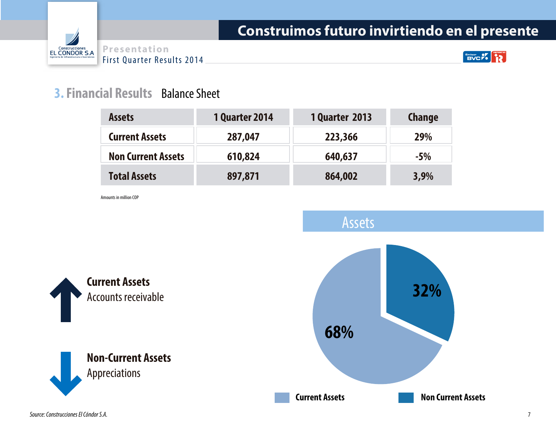

**Emisor OF 12** 

#### **3. Financial Results** Balance Sheet

| <b>Assets</b>             | <b>1 Quarter 2014</b> | <b>1 Quarter 2013</b> | <b>Change</b> |
|---------------------------|-----------------------|-----------------------|---------------|
| <b>Current Assets</b>     | 287,047               | 223,366               | 29%           |
| <b>Non Current Assets</b> | 610,824               | 640,637               | $-5%$         |
| <b>Total Assets</b>       | 897,871               | 864,002               | 3,9%          |

Amounts in million COP

**Current Assets**

Accounts receivable

**Non-Current Assets**

Appreciations

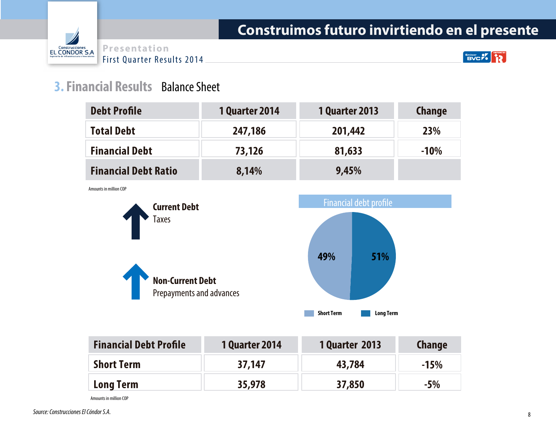

Emiser of  $\sim$ 

#### **3. Financial Results** Balance Sheet

| <b>Debt Profile</b>         | <b>1 Quarter 2014</b> | <b>1 Quarter 2013</b> | <b>Change</b> |
|-----------------------------|-----------------------|-----------------------|---------------|
| <b>Total Debt</b>           | 247,186               | 201,442               | <b>23%</b>    |
| <b>Financial Debt</b>       | 73,126                | 81,633                | $-10%$        |
| <b>Financial Debt Ratio</b> | 8,14%                 | 9,45%                 |               |

Amounts in million COP



| <b>Financial Debt Profile</b> | <b>1 Quarter 2014</b> | <b>1 Quarter 2013</b> | <b>Change</b> |
|-------------------------------|-----------------------|-----------------------|---------------|
| <b>Short Term</b>             | 37,147                | 43,784                | $-15%$        |
| <b>Long Term</b>              | 35,978                | 37,850                | $-5\%$        |

Amounts in million COP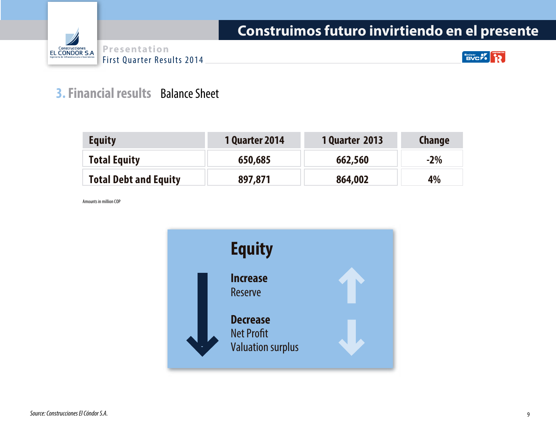



**Emison OVE** 

#### **3. Financial results** Balance Sheet

| <b>Equity</b>                | <b>1 Quarter 2014</b> | <b>1 Quarter 2013</b> | <b>Change</b> |
|------------------------------|-----------------------|-----------------------|---------------|
| <b>Total Equity</b>          | 650,685               | 662,560               | $-2%$         |
| <b>Total Debt and Equity</b> | 897,871               | 864,002               | 4%            |

Amounts in million COP

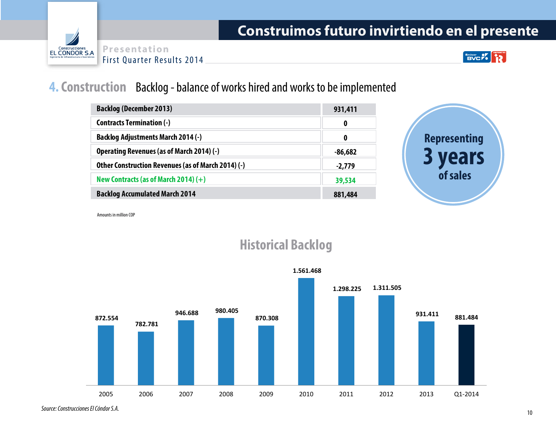



 $\mathbf{BUC}$ **AD** 

#### **4. Construction** Backlog - balance of works hired and works to be implemented

| <b>Backlog (December 2013)</b>                     | 931,411  |
|----------------------------------------------------|----------|
| <b>Contracts Termination (-)</b>                   | 0        |
| <b>Backlog Adjustments March 2014 (-)</b>          | 0        |
| Operating Revenues (as of March 2014) (-)          | -86,682  |
| Other Construction Revenues (as of March 2014) (-) | $-2,779$ |
| New Contracts (as of March 2014) $(+)$             | 39,534   |
| <b>Backlog Accumulated March 2014</b>              | 881,484  |



Amounts in million COP



#### **Historical Backlog**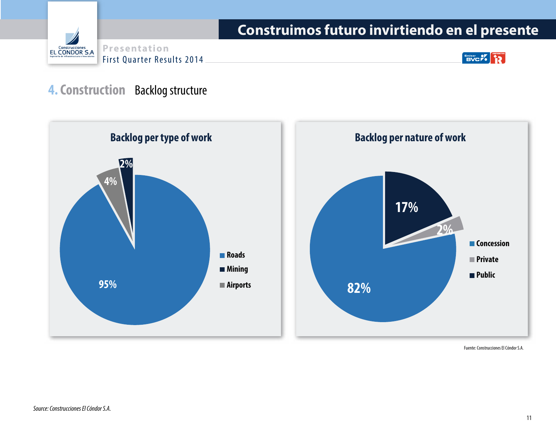

Emisor **PV R** 

#### **4. Construction** Backlog structure





Fuente: Construcciones El Cóndor S.A.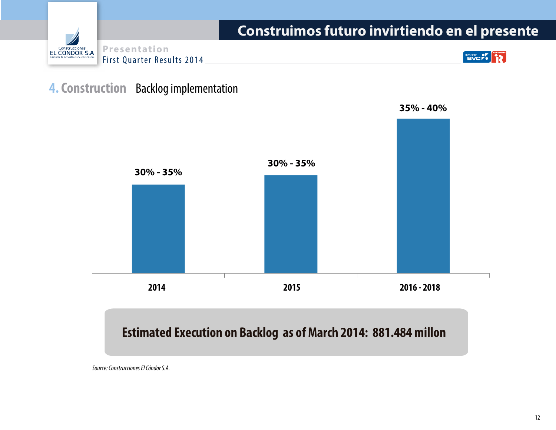

#### **4. Construction** Backlog implementation



**35% - 40%**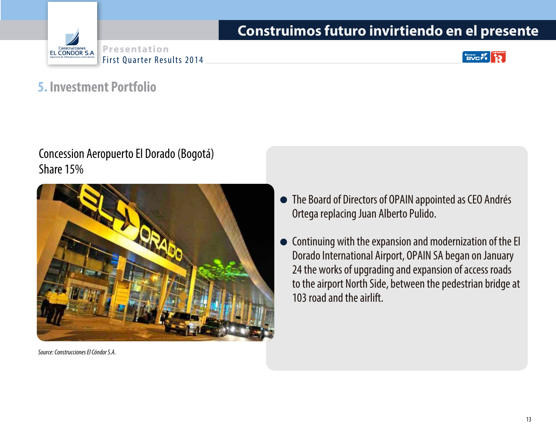





#### **5. Investment Portfolio**

#### Concession Aeropuerto El Dorado (Bogotá) Share 15%



*Source: Construcciones El Cóndor S.A.*

- The Board of Directors of OPAIN appointed as CEO Andrés Ortega replacing Juan Alberto Pulido.
- Continuing with the expansion and modernization of the El Dorado International Airport, OPAIN SA began on January 24 the works of upgrading and expansion of access roads to the airport North Side, between the pedestrian bridge at 103 road and the airlift.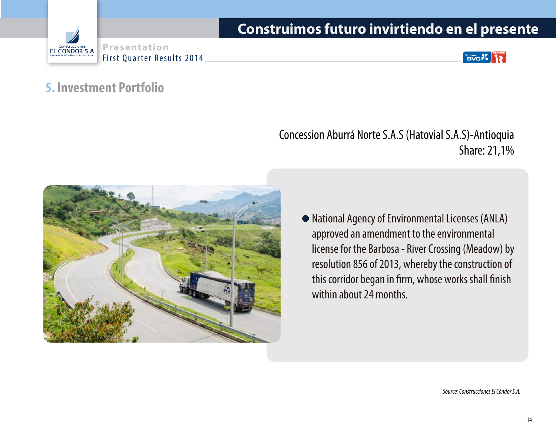





#### **5. Investment Portfolio**

Concession Aburrá Norte S.A.S (Hatovial S.A.S)-Antioquia Share: 21,1%



National Agency of Environmental Licenses (ANLA) approved an amendment to the environmental license for the Barbosa - River Crossing (Meadow) by resolution 856 of 2013, whereby the construction of this corridor began in firm, whose works shall finish within about 24 months.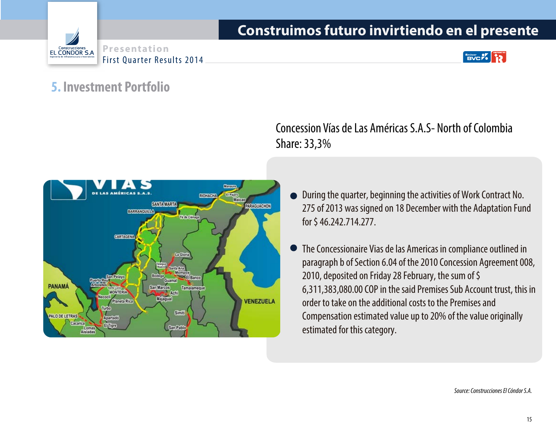





#### **5. Investment Portfolio**



Concession Vías de Las Américas S.A.S- North of Colombia Share: 33,3%

- During the quarter, beginning the activities of Work Contract No. 275 of 2013 was signed on 18 December with the Adaptation Fund for \$ 46.242.714.277.
- The Concessionaire Vias de las Americas in compliance outlined in paragraph b of Section 6.04 of the 2010 Concession Agreement 008, 2010, deposited on Friday 28 February, the sum of \$ 6,311,383,080.00 COP in the said Premises Sub Account trust, this in order to take on the additional costs to the Premises and Compensation estimated value up to 20% of the value originally estimated for this category.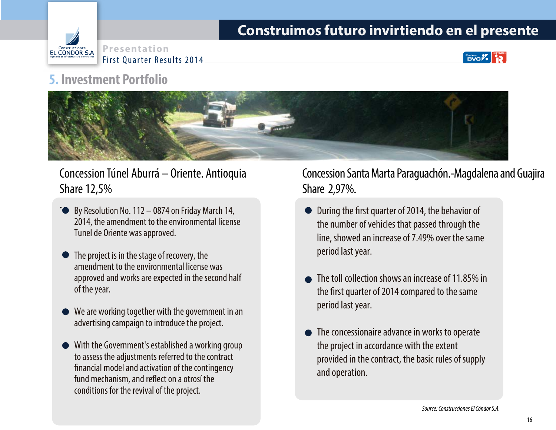



#### **5. Investment Portfolio**



#### Concession Túnel Aburrá – Oriente. Antioquia Share 12,5%

- **By Resolution No. 112 0874 on Friday March 14,** 2014, the amendment to the environmental license Tunel de Oriente was approved. .
- The project is in the stage of recovery, the amendment to the environmental license was approved and works are expected in the second half of the year.
- We are working together with the government in an advertising campaign to introduce the project.
- With the Government's established a working group to assess the adjustments referred to the contract nancial model and activation of the contingency fund mechanism, and reflect on a otrosí the conditions for the revival of the project.

#### Concession Santa Marta Paraguachón.-Magdalena and Guajira Share 2,97%.

- During the first quarter of 2014, the behavior of the number of vehicles that passed through the line, showed an increase of 7.49% over the same period last year.
- The toll collection shows an increase of 11.85% in the first quarter of 2014 compared to the same period last year.
- The concessionaire advance in works to operate the project in accordance with the extent provided in the contract, the basic rules of supply and operation.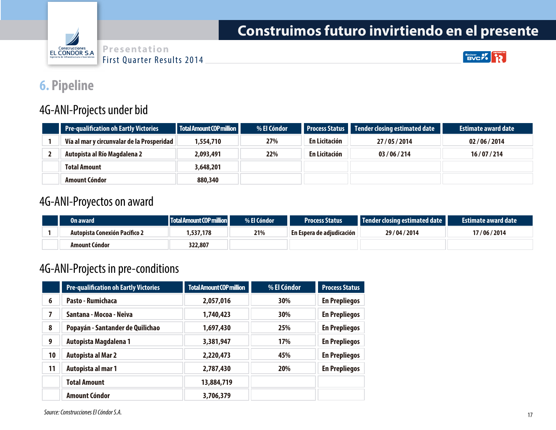





#### **6. Pipeline**

#### 4G-ANI-Projects under bid

| <b>Pre-qualification oh Eartly Victories</b> | Total Amount COP million | % El Cóndor |               | Process Status Tender closing estimated date | <b>Estimate award date</b> |
|----------------------------------------------|--------------------------|-------------|---------------|----------------------------------------------|----------------------------|
| Vía al mar y circunvalar de la Prosperidad   | 554,710,                 | 27%         | En Licitación | 27/05/2014                                   | 02/06/2014                 |
| Autopista al Río Magdalena 2                 | 2,093,491                | 22%         | En Licitación | 03/06/214                                    | 16/07/214                  |
| <b>Total Amount</b>                          | 3,648,201                |             |               |                                              |                            |
| Amount Cóndor                                | 880,340                  |             |               |                                              |                            |

#### 4G-ANI-Proyectos on award

| On award                      | Total Amount COP million | % El Cóndor | <b>Process Status</b>        | Tender closing estimated date | <b>Estimate award date</b> |
|-------------------------------|--------------------------|-------------|------------------------------|-------------------------------|----------------------------|
| Autopista Conexión Pacífico 2 | .537.178                 | 21%         | ∣En Espera de adiudicación ∣ | 29/04/2014                    | 17/06/2014                 |
| <b>Amount Cóndor</b>          | 322,807                  |             |                              |                               |                            |

#### 4G-ANI-Projects in pre-conditions

|    | <b>Pre-qualification oh Eartly Victories</b> | <b>Total Amount COP million</b> | % El Cóndor | <b>Process Status</b> |
|----|----------------------------------------------|---------------------------------|-------------|-----------------------|
| 6  | Pasto - Rumichaca                            | 2,057,016                       | 30%         | <b>En Prepliegos</b>  |
| 7  | Santana - Mocoa - Neiva                      | 1,740,423                       | 30%         | <b>En Prepliegos</b>  |
| 8  | Popayán - Santander de Quilichao             | 1,697,430                       | 25%         | <b>En Prepliegos</b>  |
| 9  | Autopista Magdalena 1                        | 3,381,947                       | 17%         | <b>En Prepliegos</b>  |
| 10 | <b>Autopista al Mar 2</b>                    | 2,220,473                       | 45%         | <b>En Prepliegos</b>  |
| 11 | Autopista al mar 1                           | 2,787,430                       | 20%         | <b>En Prepliegos</b>  |
|    | <b>Total Amount</b>                          | 13,884,719                      |             |                       |
|    | <b>Amount Cóndor</b>                         | 3,706,379                       |             |                       |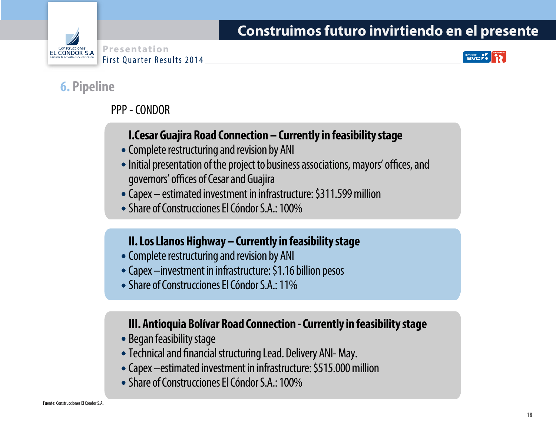



#### **6. Pipeline**

#### PPP - CONDOR

#### **I.Cesar Guajira Road Connection – Currently in feasibility stage**

- Complete restructuring and revision by ANI
- Initial presentation of the project to business associations, mayors' offices, and governors' offices of Cesar and Guajira
- Capex estimated investment in infrastructure: \$311.599 million
- Share of Construcciones El Cóndor S.A.: 100%

#### **II. Los Llanos Highway – Currently in feasibility stage**

- Complete restructuring and revision by ANI
- Capex –investment in infrastructure: \$1.16 billion pesos
- Share of Construcciones El Cóndor S.A.: 11%

#### **III. Antioquia Bolívar Road Connection - Currently in feasibility stage**

- Began feasibility stage
- Technical and financial structuring Lead. Delivery ANI-May.
- Capex –estimated investment in infrastructure: \$515.000 million
- Share of Construcciones El Cóndor S.A.: 100%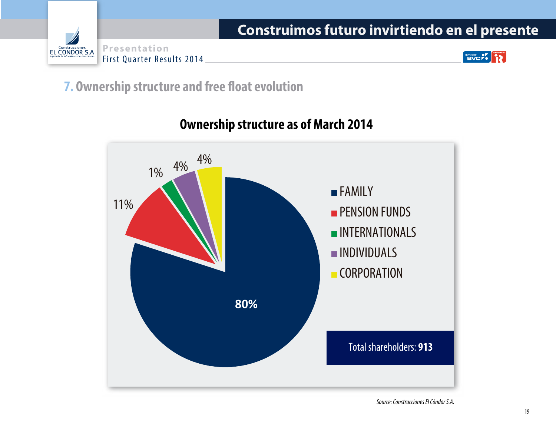

Emisor 2% P

#### **7. Ownership structure and free float evolution**



#### **Ownership structure as of March 2014**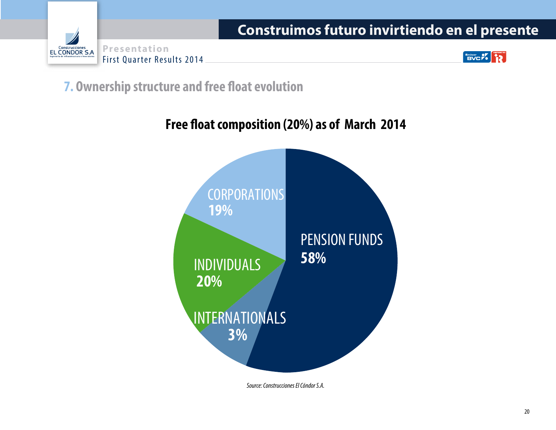

**EMISON CYCLE** 

**7. Ownership structure and free float evolution** 

#### Free float composition (20%) as of March 2014

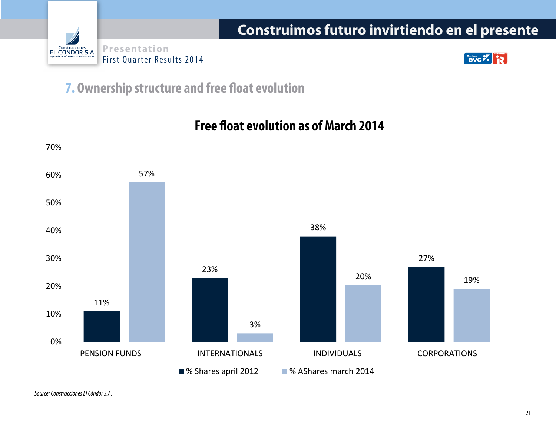

**EMISOR PV** 

**7. Ownership structure and free float evolution** 

11% 23% 38% 27% 57% 3% 20% 19% 0% 10% 20% 30% 40% 50% 60% 70% PENSION FUNDS INTERNATIONALS INDIVIDUALS CORPORATIONS ■ % Shares april 2012 ■ % AShares march 2014

#### **Free float evolution as of March 2014**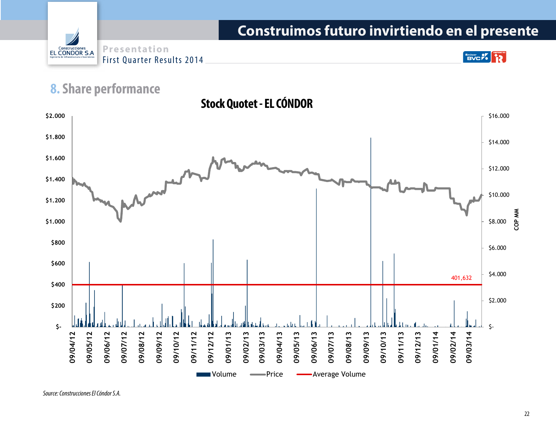**Presentation** Construcciones<br>EL CONDOR S.A First Quarter Results 2014

**Emisor PV** 

#### **8. Share performance**

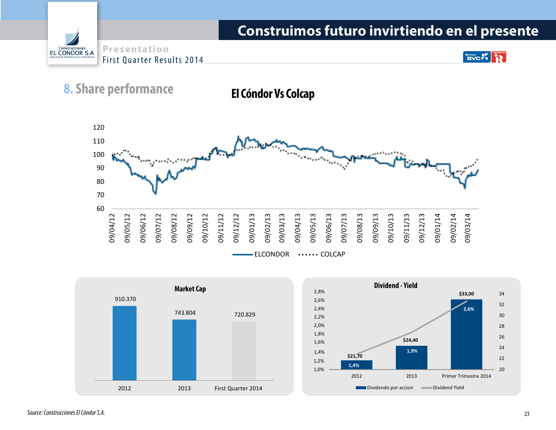**Presentation** Construcciones<br>EL CONDOR S.A First Quarter Results 2014

#### $\left[\begin{array}{c}\n\text{Fmlsor} \\
\text{BVC} \\
\end{array}\right]$  $\bullet$

#### **8. Share performance**

#### **El Cóndor Vs Colcap**



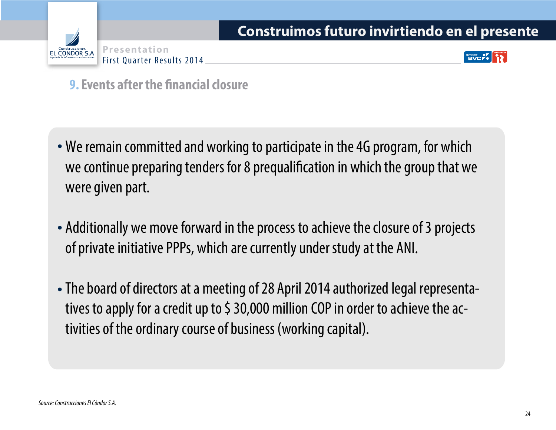



**9. Events after the financial closure** 

- We remain committed and working to participate in the 4G program, for which we continue preparing tenders for 8 prequalification in which the group that we were given part.
- Additionally we move forward in the process to achieve the closure of 3 projects of private initiative PPPs, which are currently under study at the ANI.
- The board of directors at a meeting of 28 April 2014 authorized legal representatives to apply for a credit up to \$ 30,000 million COP in order to achieve the activities of the ordinary course of business (working capital).